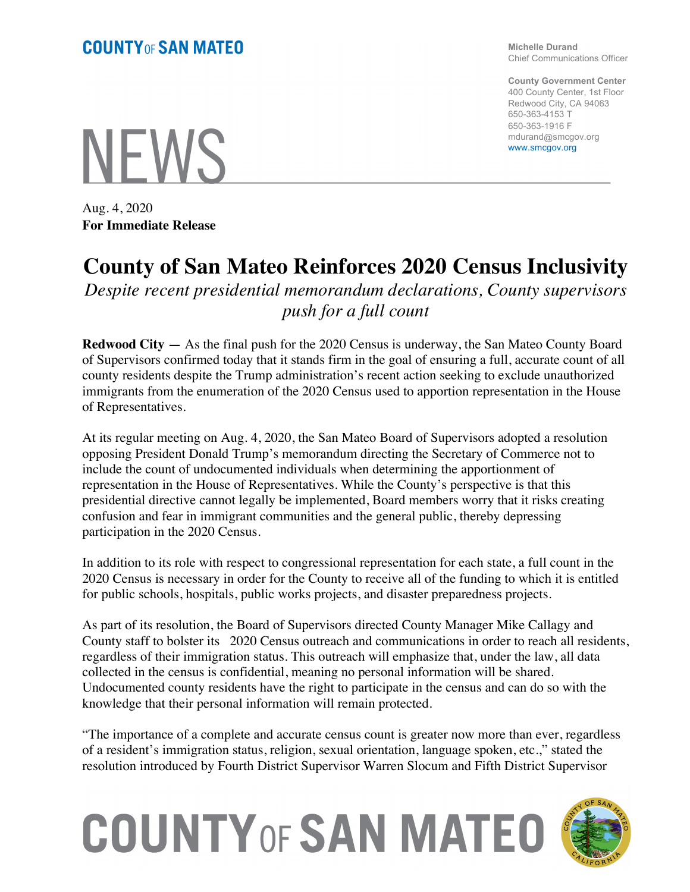**Michelle Durand** Chief Communications Officer

**County Government Center** 400 County Center, 1st Floor Redwood City, CA 94063 650-363-4153 T 650-363-1916 F mdurand@smcgov.org www.smcgov.org

Aug. 4, 2020 **For Immediate Release**

**NFWS** 

## **County of San Mateo Reinforces 2020 Census Inclusivity**

*Despite recent presidential memorandum declarations, County supervisors push for a full count* 

**Redwood City —** As the final push for the 2020 Census is underway, the San Mateo County Board of Supervisors confirmed today that it stands firm in the goal of ensuring a full, accurate count of all county residents despite the Trump administration's recent action seeking to exclude unauthorized immigrants from the enumeration of the 2020 Census used to apportion representation in the House of Representatives.

At its regular meeting on Aug. 4, 2020, the San Mateo Board of Supervisors adopted a resolution opposing President Donald Trump's memorandum directing the Secretary of Commerce not to include the count of undocumented individuals when determining the apportionment of representation in the House of Representatives. While the County's perspective is that this presidential directive cannot legally be implemented, Board members worry that it risks creating confusion and fear in immigrant communities and the general public, thereby depressing participation in the 2020 Census.

In addition to its role with respect to congressional representation for each state, a full count in the 2020 Census is necessary in order for the County to receive all of the funding to which it is entitled for public schools, hospitals, public works projects, and disaster preparedness projects.

As part of its resolution, the Board of Supervisors directed County Manager Mike Callagy and County staff to bolster its 2020 Census outreach and communications in order to reach all residents, regardless of their immigration status. This outreach will emphasize that, under the law, all data collected in the census is confidential, meaning no personal information will be shared. Undocumented county residents have the right to participate in the census and can do so with the knowledge that their personal information will remain protected.

"The importance of a complete and accurate census count is greater now more than ever, regardless of a resident's immigration status, religion, sexual orientation, language spoken, etc.," stated the resolution introduced by Fourth District Supervisor Warren Slocum and Fifth District Supervisor

## **COUNTY OF SAN MATEO**